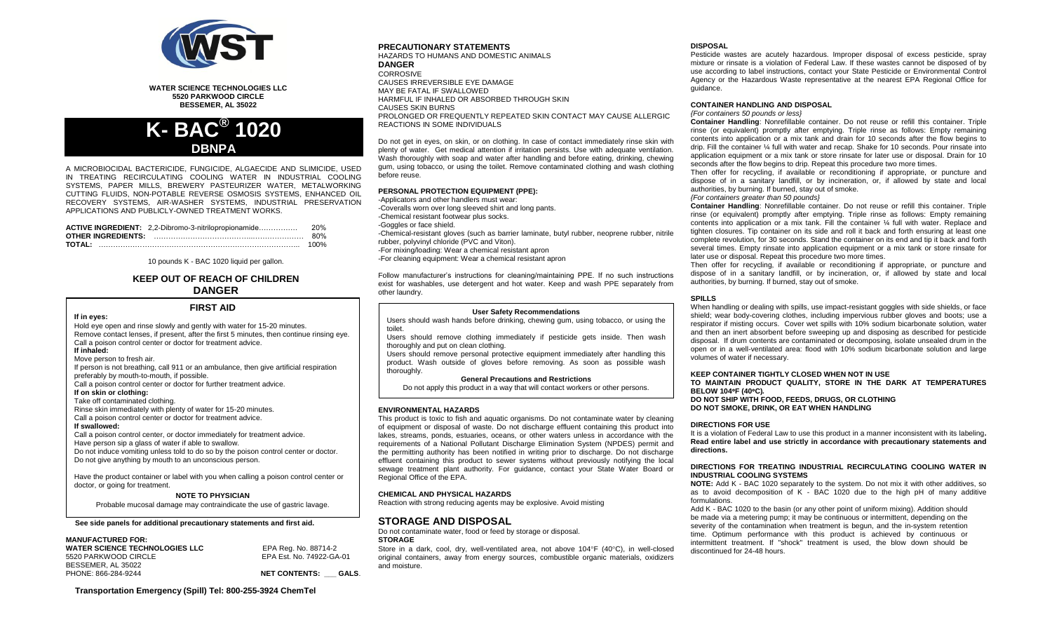

**WATER SCIENCE TECHNOLOGIES LLC 5520 PARKWOOD CIRCLE BESSEMER, AL 35022**



A MICROBIOCIDAL BACTERICIDE, FUNGICIDE, ALGAECIDE AND SLIMICIDE, USED IN TREATING RECIRCULATING COOLING WATER IN INDUSTRIAL COOLING SYSTEMS, PAPER MILLS, BREWERY PASTEURIZER WATER, METALWORKING CUTTING FLUIDS, NON-POTABLE REVERSE OSMOSIS SYSTEMS, ENHANCED OIL RECOVERY SYSTEMS, AIR-WASHER SYSTEMS, INDUSTRIAL PRESERVATION APPLICATIONS AND PUBLICLY-OWNED TREATMENT WORKS.

| ACTIVE INGREDIENT: 2,2-Dibromo-3-nitrilopropionamide | 20%  |
|------------------------------------------------------|------|
|                                                      | 80%  |
|                                                      | 100% |

10 pounds K - BAC 1020 liquid per gallon.

# **KEEP OUT OF REACH OF CHILDREN DANGER**

# **FIRST AID**

**If in eyes:**

Hold eye open and rinse slowly and gently with water for 15-20 minutes. Remove contact lenses, if present, after the first 5 minutes, then continue rinsing eye. Call a poison control center or doctor for treatment advice. **If inhaled:**

Move person to fresh air.

If person is not breathing, call 911 or an ambulance, then give artificial respiration preferably by mouth-to-mouth, if possible.

Call a poison control center or doctor for further treatment advice.

#### **If on skin or clothing:**

Take off contaminated clothing.

Rinse skin immediately with plenty of water for 15-20 minutes. Call a poison control center or doctor for treatment advice.

**If swallowed:**

Call a poison control center, or doctor immediately for treatment advice. Have person sip a glass of water if able to swallow. Do not induce vomiting unless told to do so by the poison control center or doctor. Do not give anything by mouth to an unconscious person.

Have the product container or label with you when calling a poison control center or doctor, or going for treatment.

### **NOTE TO PHYSICIAN**

Probable mucosal damage may contraindicate the use of gastric lavage.

**See side panels for additional precautionary statements and first aid.**

#### **MANUFACTURED FOR:**

| <b>WATER SCIENCE TECHNOLOGIES LLC</b> |  |
|---------------------------------------|--|
| 5520 PARKWOOD CIRCLE                  |  |
| BESSEMER, AL 35022                    |  |
| PHONE: 866-284-9244                   |  |

5520 PARKWOOD CIRCLE EPA Est. No. 74922-GA-01 **NET CONTENTS: GALS.** 

**WATER SCIENCE TECHNOLOGIES LLC** EPA Reg. No. 88714-2

# **PRECAUTIONARY STATEMENTS**

HAZARDS TO HUMANS AND DOMESTIC ANIMALS **DANGER** CORROSIVE CAUSES IRREVERSIBLE EYE DAMAGE MAY BE FATAL IF SWALLOWED HARMFUL IF INHALED OR ABSORBED THROUGH SKIN CAUSES SKIN BURNS PROLONGED OR FREQUENTLY REPEATED SKIN CONTACT MAY CAUSE ALLERGIC REACTIONS IN SOME INDIVIDUALS

Do not get in eyes, on skin, or on clothing. In case of contact immediately rinse skin with plenty of water. Get medical attention if irritation persists. Use with adequate ventilation. Wash thoroughly with soap and water after handling and before eating, drinking, chewing gum, using tobacco, or using the toilet. Remove contaminated clothing and wash clothing before reuse.

#### **PERSONAL PROTECTION EQUIPMENT (PPE):**

-Applicators and other handlers must wear: -Coveralls worn over long sleeved shirt and long pants. -Chemical resistant footwear plus socks. -Goggles or face shield. -Chemical-resistant gloves (such as barrier laminate, butyl rubber, neoprene rubber, nitrile rubber, polyvinyl chloride (PVC and Viton). -For mixing/loading: Wear a chemical resistant apron -For cleaning equipment: Wear a chemical resistant apron

Follow manufacturer's instructions for cleaning/maintaining PPE. If no such instructions exist for washables, use detergent and hot water. Keep and wash PPE separately from other laundry.

#### **User Safety Recommendations**

Users should wash hands before drinking, chewing gum, using tobacco, or using the toilet.

Users should remove clothing immediately if pesticide gets inside. Then wash thoroughly and put on clean clothing.

Users should remove personal protective equipment immediately after handling this product. Wash outside of gloves before removing. As soon as possible wash thoroughly.

**General Precautions and Restrictions**

Do not apply this product in a way that will contact workers or other persons.

#### **ENVIRONMENTAL HAZARDS**

This product is toxic to fish and aquatic organisms. Do not contaminate water by cleaning of equipment or disposal of waste. Do not discharge effluent containing this product into lakes, streams, ponds, estuaries, oceans, or other waters unless in accordance with the requirements of a National Pollutant Discharge Elimination System (NPDES) permit and the permitting authority has been notified in writing prior to discharge. Do not discharge effluent containing this product to sewer systems without previously notifying the local sewage treatment plant authority. For guidance, contact your State Water Board or Regional Office of the EPA.

#### **CHEMICAL AND PHYSICAL HAZARDS**

Reaction with strong reducing agents may be explosive. Avoid misting

# **STORAGE AND DISPOSAL**

Do not contaminate water, food or feed by storage or disposal. **STORAGE**

Store in a dark, cool, dry, well-ventilated area, not above  $104^{\circ}F$  (40 $^{\circ}C$ ), in well-closed original containers, away from energy sources, combustible organic materials, oxidizers and moisture.

#### **DISPOSAL**

Pesticide wastes are acutely hazardous. Improper disposal of excess pesticide, spray mixture or rinsate is a violation of Federal Law. If these wastes cannot be disposed of by use according to label instructions, contact your State Pesticide or Environmental Control Agency or the Hazardous Waste representative at the nearest EPA Regional Office for quidance.

#### **CONTAINER HANDLING AND DISPOSAL** *{For containers 50 pounds or less}*

**Container Handling**: Nonrefillable container. Do not reuse or refill this container. Triple rinse (or equivalent) promptly after emptying. Triple rinse as follows: Empty remaining contents into application or a mix tank and drain for 10 seconds after the flow begins to drip. Fill the container ¼ full with water and recap. Shake for 10 seconds. Pour rinsate into application equipment or a mix tank or store rinsate for later use or disposal. Drain for 10 seconds after the flow begins to drip. Repeat this procedure two more times.

Then offer for recycling, if available or reconditioning if appropriate, or puncture and dispose of in a sanitary landfill, or by incineration, or, if allowed by state and local authorities, by burning. If burned, stay out of smoke.

#### *{For containers greater than 50 pounds}*

**Container Handling**: Nonrefillable container. Do not reuse or refill this container. Triple rinse (or equivalent) promptly after emptying. Triple rinse as follows: Empty remaining contents into application or a mix tank. Fill the container ¼ full with water. Replace and tighten closures. Tip container on its side and roll it back and forth ensuring at least one complete revolution, for 30 seconds. Stand the container on its end and tip it back and forth several times. Empty rinsate into application equipment or a mix tank or store rinsate for later use or disposal. Repeat this procedure two more times.

Then offer for recycling, if available or reconditioning if appropriate, or puncture and dispose of in a sanitary landfill, or by incineration, or, if allowed by state and local authorities, by burning. If burned, stay out of smoke.

#### **SPILLS**

When handling or dealing with spills, use impact-resistant goggles with side shields, or face shield; wear body-covering clothes, including impervious rubber gloves and boots; use a respirator if misting occurs. Cover wet spills with 10% sodium bicarbonate solution, water and then an inert absorbent before sweeping up and disposing as described for pesticide disposal. If drum contents are contaminated or decomposing, isolate unsealed drum in the open or in a well-ventilated area: flood with 10% sodium bicarbonate solution and large volumes of water if necessary.

## **KEEP CONTAINER TIGHTLY CLOSED WHEN NOT IN USE**

**TO MAINTAIN PRODUCT QUALITY, STORE IN THE DARK AT TEMPERATURES BELOW 104F (40C)***.* **DO NOT SHIP WITH FOOD, FEEDS, DRUGS, OR CLOTHING DO NOT SMOKE, DRINK, OR EAT WHEN HANDLING**

## **DIRECTIONS FOR USE**

It is a violation of Federal Law to use this product in a manner inconsistent with its labeling**. Read entire label and use strictly in accordance with precautionary statements and directions.**

### **DIRECTIONS FOR TREATING INDUSTRIAL RECIRCULATING COOLING WATER IN INDUSTRIAL COOLING SYSTEMS**

**NOTE:** Add K - BAC 1020 separately to the system. Do not mix it with other additives, so as to avoid decomposition of K - BAC 1020 due to the high pH of many additive formulations.

Add K - BAC 1020 to the basin (or any other point of uniform mixing). Addition should be made via a metering pump; it may be continuous or intermittent, depending on the severity of the contamination when treatment is begun, and the in-system retention time. Optimum performance with this product is achieved by continuous or intermittent treatment. If "shock" treatment is used, the blow down should be discontinued for 24-48 hours.

**Transportation Emergency (Spill) Tel: 800-255-3924 ChemTel**